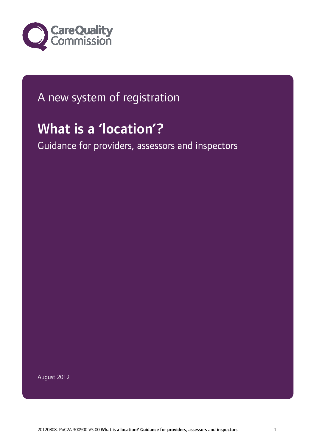

## A new system of registration

# What is a 'location'?

Guidance for providers, assessors and inspectors

August 2012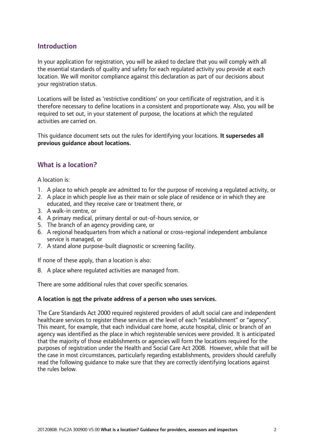#### **Introduction**

In your application for registration, you will be asked to declare that you will comply with all the essential standards of quality and safety for each regulated activity you provide at each location. We will monitor compliance against this declaration as part of our decisions about your registration status.

Locations will be listed as 'restrictive conditions' on your certificate of registration, and it is therefore necessary to define locations in a consistent and proportionate way. Also, you will be required to set out, in your statement of purpose, the locations at which the regulated activities are carried on.

This quidance document sets out the rules for identifying your locations. It supersedes all previous guidance about locations.

#### What is a location?

A location is:

- 1. A place to which people are admitted to for the purpose of receiving a regulated activity, or
- 2. A place in which people live as their main or sole place of residence or in which they are educated, and they receive care or treatment there, or
- 3. A walk-in centre, or
- 4. A primary medical, primary dental or out-of-hours service, or
- 5. The branch of an agency providing care, or
- 6. A regional headquarters from which a national or cross-regional independent ambulance service is managed, or
- 7. A stand alone purpose-built diagnostic or screening facility.

If none of these apply, than a location is also:

8. A place where regulated activities are managed from.

There are some additional rules that cover specific scenarios.

#### A location is not the private address of a person who uses services.

The Care Standards Act 2000 required registered providers of adult social care and independent healthcare services to register these services at the level of each "establishment" or "agency". This meant, for example, that each individual care home, acute hospital, clinic or branch of an agency was identified as the place in which registerable services were provided. It is anticipated that the majority of those establishments or agencies will form the locations required for the purposes of registration under the Health and Social Care Act 2008. However, while that will be the case in most circumstances, particularly regarding establishments, providers should carefully read the following guidance to make sure that they are correctly identifying locations against the rules below.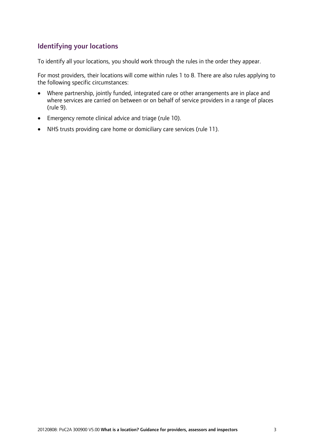#### Identifying your locations

To identify all your locations, you should work through the rules in the order they appear.

For most providers, their locations will come within rules 1 to 8. There are also rules applying to the following specific circumstances:

- Where partnership, jointly funded, integrated care or other arrangements are in place and where services are carried on between or on behalf of service providers in a range of places (rule 9).
- Emergency remote clinical advice and triage (rule 10).
- NHS trusts providing care home or domiciliary care services (rule 11).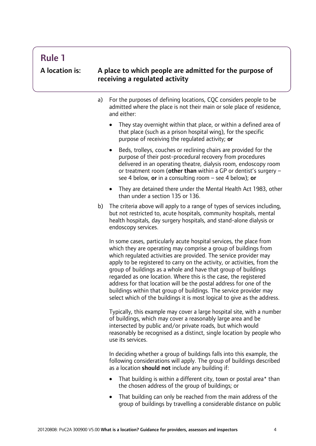### Rule 1

#### A location is: A place to which people are admitted for the purpose of receiving a regulated activity

- a) For the purposes of defining locations, CQC considers people to be admitted where the place is not their main or sole place of residence, and either:
	- They stay overnight within that place, or within a defined area of that place (such as a prison hospital wing), for the specific purpose of receiving the regulated activity; or
	- Beds, trolleys, couches or reclining chairs are provided for the purpose of their post-procedural recovery from procedures delivered in an operating theatre, dialysis room, endoscopy room or treatment room (other than within a GP or dentist's surgery  $$ see 4 below, or in a consulting room  $-$  see 4 below); or
	- They are detained there under the Mental Health Act 1983, other than under a section 135 or 136.
- b) The criteria above will apply to a range of types of services including. but not restricted to, acute hospitals, community hospitals, mental health hospitals, day surgery hospitals, and stand-alone dialysis or endoscopy services.

In some cases, particularly acute hospital services, the place from which they are operating may comprise a group of buildings from which regulated activities are provided. The service provider may apply to be registered to carry on the activity, or activities, from the group of buildings as a whole and have that group of buildings regarded as one location. Where this is the case, the registered address for that location will be the postal address for one of the buildings within that group of buildings. The service provider may select which of the buildings it is most logical to give as the address.

Typically, this example may cover a large hospital site, with a number of buildings, which may cover a reasonably large area and be intersected by public and/or private roads, but which would reasonably be recognised as a distinct, single location by people who use its services.

In deciding whether a group of buildings falls into this example, the following considerations will apply. The group of buildings described as a location should not include any building if:

- That building is within a different city, town or postal area\* than the chosen address of the group of buildings; or
- That building can only be reached from the main address of the group of buildings by travelling a considerable distance on public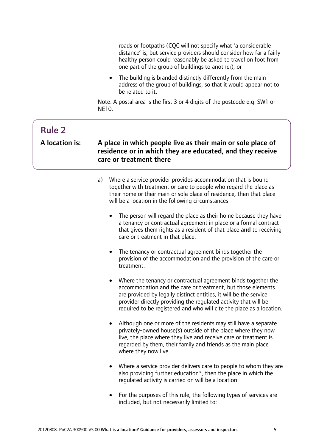roads or footpaths (CQC will not specify what 'a considerable distance' is, but service providers should consider how far a fairly healthy person could reasonably be asked to travel on foot from one part of the group of buildings to another); or

• The building is branded distinctly differently from the main address of the group of buildings, so that it would appear not to be related to it.

Note: A postal area is the first 3 or 4 digits of the postcode e.g. SW1 or NE10.

| <b>Rule 2</b><br>A location is: | A place in which people live as their main or sole place of<br>residence or in which they are educated, and they receive<br>care or treatment there                                                                                                                                                                                                                                                                                                                                                                                                                                                                                                                                                                                                                                                                                                                                                                                                                                                                                                                                                                                                                                                                                                                                                                                                                                                                                                                                                                                                                     |  |
|---------------------------------|-------------------------------------------------------------------------------------------------------------------------------------------------------------------------------------------------------------------------------------------------------------------------------------------------------------------------------------------------------------------------------------------------------------------------------------------------------------------------------------------------------------------------------------------------------------------------------------------------------------------------------------------------------------------------------------------------------------------------------------------------------------------------------------------------------------------------------------------------------------------------------------------------------------------------------------------------------------------------------------------------------------------------------------------------------------------------------------------------------------------------------------------------------------------------------------------------------------------------------------------------------------------------------------------------------------------------------------------------------------------------------------------------------------------------------------------------------------------------------------------------------------------------------------------------------------------------|--|
|                                 | Where a service provider provides accommodation that is bound<br>a)<br>together with treatment or care to people who regard the place as<br>their home or their main or sole place of residence, then that place<br>will be a location in the following circumstances:<br>The person will regard the place as their home because they have<br>$\bullet$<br>a tenancy or contractual agreement in place or a formal contract<br>that gives them rights as a resident of that place and to receiving<br>care or treatment in that place.<br>The tenancy or contractual agreement binds together the<br>$\bullet$<br>provision of the accommodation and the provision of the care or<br>treatment.<br>Where the tenancy or contractual agreement binds together the<br>$\bullet$<br>accommodation and the care or treatment, but those elements<br>are provided by legally distinct entities, it will be the service<br>provider directly providing the regulated activity that will be<br>required to be registered and who will cite the place as a location.<br>Although one or more of the residents may still have a separate<br>$\bullet$<br>privately-owned house(s) outside of the place where they now<br>live, the place where they live and receive care or treatment is<br>regarded by them, their family and friends as the main place<br>where they now live.<br>Where a service provider delivers care to people to whom they are<br>also providing further education*, then the place in which the<br>regulated activity is carried on will be a location. |  |
|                                 | For the purposes of this rule, the following types of services are                                                                                                                                                                                                                                                                                                                                                                                                                                                                                                                                                                                                                                                                                                                                                                                                                                                                                                                                                                                                                                                                                                                                                                                                                                                                                                                                                                                                                                                                                                      |  |

included, but not necessarily limited to: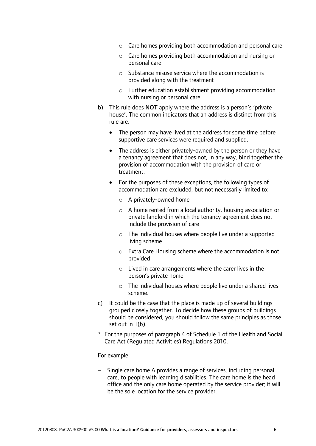- o Care homes providing both accommodation and personal care
- o Care homes providing both accommodation and nursing or personal care
- o Substance misuse service where the accommodation is provided along with the treatment
- o Further education establishment providing accommodation with nursing or personal care.
- b) This rule does **NOT** apply where the address is a person's 'private house'. The common indicators that an address is distinct from this rule are:
	- The person may have lived at the address for some time before supportive care services were required and supplied.
	- The address is either privately-owned by the person or they have a tenancy agreement that does not, in any way, bind together the provision of accommodation with the provision of care or treatment.
	- For the purposes of these exceptions, the following types of accommodation are excluded, but not necessarily limited to:
		- o A privately-owned home
		- o A home rented from a local authority, housing association or private landlord in which the tenancy agreement does not include the provision of care
		- o The individual houses where people live under a supported living scheme
		- o Extra Care Housing scheme where the accommodation is not provided
		- o Lived in care arrangements where the carer lives in the person's private home
		- o The individual houses where people live under a shared lives scheme.
- c) It could be the case that the place is made up of several buildings grouped closely together. To decide how these groups of buildings should be considered, you should follow the same principles as those set out in 1(b).
- \* For the purposes of paragraph 4 of Schedule 1 of the Health and Social Care Act (Regulated Activities) Regulations 2010.

#### For example:

− Single care home A provides a range of services, including personal care, to people with learning disabilities. The care home is the head office and the only care home operated by the service provider; it will be the sole location for the service provider.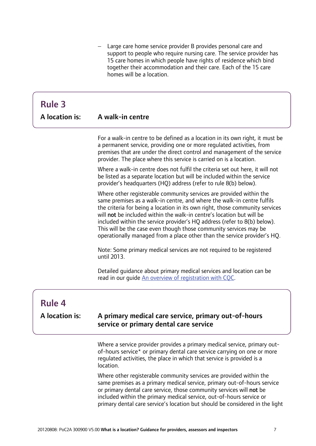− Large care home service provider B provides personal care and support to people who require nursing care. The service provider has 15 care homes in which people have rights of residence which bind together their accommodation and their care. Each of the 15 care homes will be a location.

## Rule 3

| <b>A</b> location is: | A walk-in centre |
|-----------------------|------------------|
|                       |                  |

For a walk-in centre to be defined as a location in its own right, it must be a permanent service, providing one or more regulated activities, from premises that are under the direct control and management of the service provider. The place where this service is carried on is a location.

Where a walk-in centre does not fulfil the criteria set out here, it will not be listed as a separate location but will be included within the service provider's headquarters (HQ) address (refer to rule 8(b) below).

Where other registerable community services are provided within the same premises as a walk-in centre, and where the walk-in centre fulfils the criteria for being a location in its own right, those community services will **not** be included within the walk-in centre's location but will be included within the service provider's HQ address (refer to 8(b) below). This will be the case even though those community services may be operationally managed from a place other than the service provider's HQ.

Note: Some primary medical services are not required to be registered until 2013.

Detailed guidance about primary medical services and location can be read in our guide [An overview of registration with CQC](http://www.cqc.org.uk/sites/default/files/media/documents/gp_overview_guide.pdf).

### Rule 4

٦

 $\overline{a}$ 

#### A location is: A primary medical care service, primary out-of-hours service or primary dental care service

Where a service provider provides a primary medical service, primary outof-hours service\* or primary dental care service carrying on one or more regulated activities, the place in which that service is provided is a location.

Where other registerable community services are provided within the same premises as a primary medical service, primary out-of-hours service or primary dental care service, those community services will not be included within the primary medical service, out-of-hours service or primary dental care service's location but should be considered in the light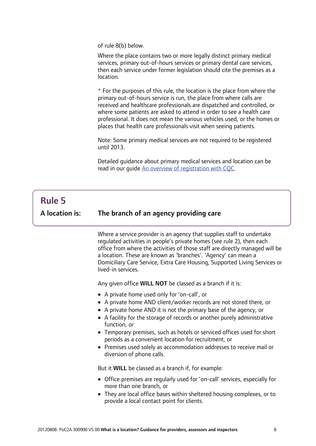of rule 8(b) below.

Where the place contains two or more legally distinct primary medical services, primary out-of-hours services or primary dental care services, then each service under former legislation should cite the premises as a location.

\* For the purposes of this rule, the location is the place from where the primary out-of-hours service is run, the place from where calls are received and healthcare professionals are dispatched and controlled, or where some patients are asked to attend in order to see a health care professional. It does not mean the various vehicles used, or the homes or places that health care professionals visit when seeing patients.

Note: Some primary medical services are not required to be registered until 2013.

Detailed guidance about primary medical services and location can be read in our guide [An overview of registration with CQC](http://www.cqc.org.uk/sites/default/files/media/documents/gp_overview_guide.pdf).

#### Rule 5 A location is: The branch of an agency providing care

j

I

Where a service provider is an agency that supplies staff to undertake regulated activities in people's private homes (see rule 2), then each office from where the activities of those staff are directly managed will be a location. These are known as 'branches'. 'Agency' can mean a Domiciliary Care Service, Extra Care Housing, Supported Living Services or lived-in services.

Any given office WILL NOT be classed as a branch if it is:

- A private home used only for 'on-call', or
- A private home AND client/worker records are not stored there, or
- A private home AND it is not the primary base of the agency, or
- A facility for the storage of records or another purely administrative function, or
- Temporary premises, such as hotels or serviced offices used for short periods as a convenient location for recruitment, or
- Premises used solely as accommodation addresses to receive mail or diversion of phone calls.

But it WILL be classed as a branch if, for example:

- Office premises are regularly used for 'on-call' services, especially for more than one branch, or
- They are local office bases within sheltered housing complexes, or to provide a local contact point for clients.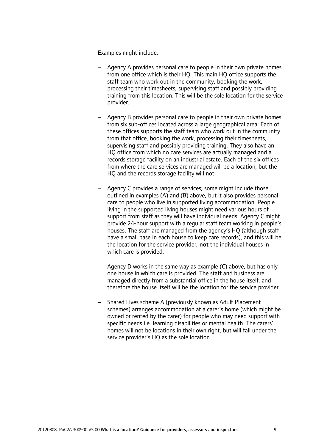Examples might include:

- − Agency A provides personal care to people in their own private homes from one office which is their HQ. This main HQ office supports the staff team who work out in the community, booking the work, processing their timesheets, supervising staff and possibly providing training from this location. This will be the sole location for the service provider.
- − Agency B provides personal care to people in their own private homes from six sub-offices located across a large geographical area. Each of these offices supports the staff team who work out in the community from that office, booking the work, processing their timesheets, supervising staff and possibly providing training. They also have an HQ office from which no care services are actually managed and a records storage facility on an industrial estate. Each of the six offices from where the care services are managed will be a location, but the HQ and the records storage facility will not.
- − Agency C provides a range of services; some might include those outlined in examples (A) and (B) above, but it also provides personal care to people who live in supported living accommodation. People living in the supported living houses might need various hours of support from staff as they will have individual needs. Agency C might provide 24-hour support with a regular staff team working in people's houses. The staff are managed from the agency's HO (although staff have a small base in each house to keep care records), and this will be the location for the service provider, not the individual houses in which care is provided.
- − Agency D works in the same way as example (C) above, but has only one house in which care is provided. The staff and business are managed directly from a substantial office in the house itself, and therefore the house itself will be the location for the service provider.
- − Shared Lives scheme A (previously known as Adult Placement schemes) arranges accommodation at a carer's home (which might be owned or rented by the carer) for people who may need support with specific needs i.e. learning disabilities or mental health. The carers' homes will not be locations in their own right, but will fall under the service provider's HQ as the sole location.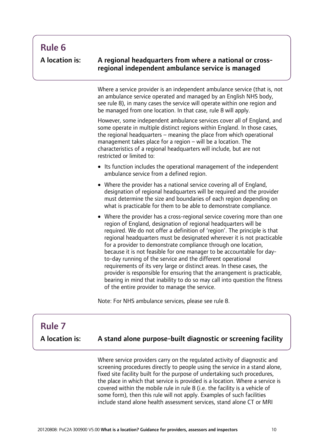#### A location is:

A regional headquarters from where a national or crossregional independent ambulance service is managed

Where a service provider is an independent ambulance service (that is, not an ambulance service operated and managed by an English NHS body, see rule 8), in many cases the service will operate within one region and be managed from one location. In that case, rule 8 will apply.

However, some independent ambulance services cover all of England, and some operate in multiple distinct regions within England. In those cases, the regional headquarters – meaning the place from which operational management takes place for a region – will be a location. The characteristics of a regional headquarters will include, but are not restricted or limited to:

- Its function includes the operational management of the independent ambulance service from a defined region.
- Where the provider has a national service covering all of England, designation of regional headquarters will be required and the provider must determine the size and boundaries of each region depending on what is practicable for them to be able to demonstrate compliance.
- Where the provider has a cross-regional service covering more than one region of England, designation of regional headquarters will be required. We do not offer a definition of 'region'. The principle is that regional headquarters must be designated wherever it is not practicable for a provider to demonstrate compliance through one location, because it is not feasible for one manager to be accountable for dayto-day running of the service and the different operational requirements of its very large or distinct areas. In these cases, the provider is responsible for ensuring that the arrangement is practicable, bearing in mind that inability to do so may call into question the fitness of the entire provider to manage the service.

Note: For NHS ambulance services, please see rule 8.

#### $\overline{a}$ Rule 7 A location is: A stand alone purpose-built diagnostic or screening facility Where service providers carry on the regulated activity of diagnostic and screening procedures directly to people using the service in a stand alone, fixed site facility built for the purpose of undertaking such procedures, the place in which that service is provided is a location. Where a service is covered within the mobile rule in rule 8 (i.e. the facility is a vehicle of some form), then this rule will not apply. Examples of such facilities include stand alone health assessment services, stand alone CT or MRI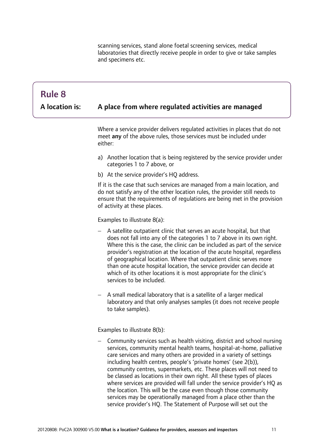scanning services, stand alone foetal screening services, medical laboratories that directly receive people in order to give or take samples and specimens etc.

### Rule 8

j

A location is:

#### A place from where regulated activities are managed

Where a service provider delivers regulated activities in places that do not meet any of the above rules, those services must be included under either:

- a) Another location that is being registered by the service provider under categories 1 to 7 above, or
- b) At the service provider's HO address.

If it is the case that such services are managed from a main location, and do not satisfy any of the other location rules, the provider still needs to ensure that the requirements of regulations are being met in the provision of activity at these places.

Examples to illustrate 8(a):

- − A satellite outpatient clinic that serves an acute hospital, but that does not fall into any of the categories 1 to 7 above in its own right. Where this is the case, the clinic can be included as part of the service provider's registration at the location of the acute hospital, regardless of geographical location. Where that outpatient clinic serves more than one acute hospital location, the service provider can decide at which of its other locations it is most appropriate for the clinic's services to be included.
- − A small medical laboratory that is a satellite of a larger medical laboratory and that only analyses samples (it does not receive people to take samples).

Examples to illustrate 8(b):

− Community services such as health visiting, district and school nursing services, community mental health teams, hospital-at-home, palliative care services and many others are provided in a variety of settings including health centres, people's 'private homes' (see 2(b)), community centres, supermarkets, etc. These places will not need to be classed as locations in their own right. All these types of places where services are provided will fall under the service provider's HO as the location. This will be the case even though those community services may be operationally managed from a place other than the service provider's HQ. The Statement of Purpose will set out the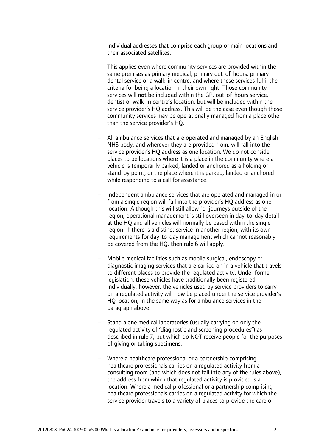individual addresses that comprise each group of main locations and their associated satellites.

This applies even where community services are provided within the same premises as primary medical, primary out-of-hours, primary dental service or a walk-in centre, and where these services fulfil the criteria for being a location in their own right. Those community services will not be included within the GP, out-of-hours service, dentist or walk-in centre's location, but will be included within the service provider's HQ address. This will be the case even though those community services may be operationally managed from a place other than the service provider's HQ.

- − All ambulance services that are operated and managed by an English NHS body, and wherever they are provided from, will fall into the service provider's HQ address as one location. We do not consider places to be locations where it is a place in the community where a vehicle is temporarily parked, landed or anchored as a holding or stand-by point, or the place where it is parked, landed or anchored while responding to a call for assistance.
- − Independent ambulance services that are operated and managed in or from a single region will fall into the provider's HQ address as one location. Although this will still allow for journeys outside of the region, operational management is still overseen in day-to-day detail at the HQ and all vehicles will normally be based within the single region. If there is a distinct service in another region, with its own requirements for day-to-day management which cannot reasonably be covered from the HQ, then rule 6 will apply.
- − Mobile medical facilities such as mobile surgical, endoscopy or diagnostic imaging services that are carried on in a vehicle that travels to different places to provide the regulated activity. Under former legislation, these vehicles have traditionally been registered individually, however, the vehicles used by service providers to carry on a regulated activity will now be placed under the service provider's HQ location, in the same way as for ambulance services in the paragraph above.
- − Stand alone medical laboratories (usually carrying on only the regulated activity of 'diagnostic and screening procedures') as described in rule 7, but which do NOT receive people for the purposes of giving or taking specimens.
- − Where a healthcare professional or a partnership comprising healthcare professionals carries on a regulated activity from a consulting room (and which does not fall into any of the rules above), the address from which that regulated activity is provided is a location. Where a medical professional or a partnership comprising healthcare professionals carries on a regulated activity for which the service provider travels to a variety of places to provide the care or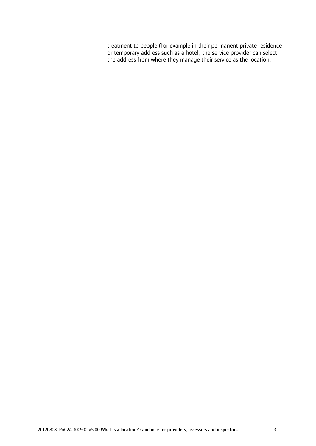treatment to people (for example in their permanent private residence or temporary address such as a hotel) the service provider can select the address from where they manage their service as the location.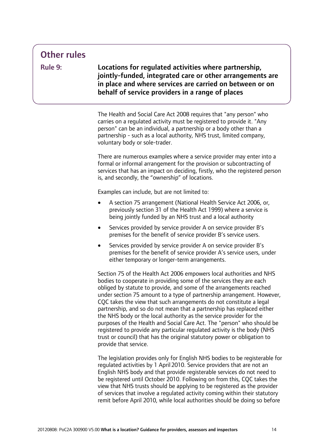### Other rules

Rule 9:

Locations for regulated activities where partnership, jointly-funded, integrated care or other arrangements are in place and where services are carried on between or on behalf of service providers in a range of places

The Health and Social Care Act 2008 requires that "any person" who carries on a regulated activity must be registered to provide it. "Any person" can be an individual, a partnership or a body other than a partnership - such as a local authority, NHS trust, limited company, voluntary body or sole-trader.

There are numerous examples where a service provider may enter into a formal or informal arrangement for the provision or subcontracting of services that has an impact on deciding, firstly, who the registered person is, and secondly, the "ownership" of locations.

Examples can include, but are not limited to:

- A section 75 arrangement (National Health Service Act 2006, or, previously section 31 of the Health Act 1999) where a service is being jointly funded by an NHS trust and a local authority
- Services provided by service provider A on service provider B's premises for the benefit of service provider B's service users.
- Services provided by service provider A on service provider B's premises for the benefit of service provider A's service users, under either temporary or longer-term arrangements.

Section 75 of the Health Act 2006 empowers local authorities and NHS bodies to cooperate in providing some of the services they are each obliged by statute to provide, and some of the arrangements reached under section 75 amount to a type of partnership arrangement. However, CQC takes the view that such arrangements do not constitute a legal partnership, and so do not mean that a partnership has replaced either the NHS body or the local authority as the service provider for the purposes of the Health and Social Care Act. The "person" who should be registered to provide any particular regulated activity is the body (NHS trust or council) that has the original statutory power or obligation to provide that service.

The legislation provides only for English NHS bodies to be registerable for regulated activities by 1 April 2010. Service providers that are not an English NHS body and that provide registerable services do not need to be registered until October 2010. Following on from this, CQC takes the view that NHS trusts should be applying to be registered as the provider of services that involve a regulated activity coming within their statutory remit before April 2010, while local authorities should be doing so before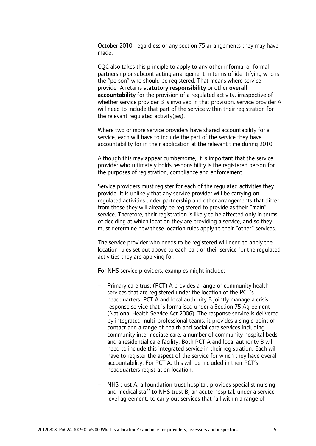October 2010, regardless of any section 75 arrangements they may have made.

CQC also takes this principle to apply to any other informal or formal partnership or subcontracting arrangement in terms of identifying who is the "person" who should be registered. That means where service provider A retains statutory responsibility or other overall accountability for the provision of a regulated activity, irrespective of whether service provider B is involved in that provision, service provider A will need to include that part of the service within their registration for the relevant regulated activity(ies).

Where two or more service providers have shared accountability for a service, each will have to include the part of the service they have accountability for in their application at the relevant time during 2010.

Although this may appear cumbersome, it is important that the service provider who ultimately holds responsibility is the registered person for the purposes of registration, compliance and enforcement.

Service providers must register for each of the regulated activities they provide. It is unlikely that any service provider will be carrying on regulated activities under partnership and other arrangements that differ from those they will already be registered to provide as their "main" service. Therefore, their registration is likely to be affected only in terms of deciding at which location they are providing a service, and so they must determine how these location rules apply to their "other" services.

The service provider who needs to be registered will need to apply the location rules set out above to each part of their service for the regulated activities they are applying for.

For NHS service providers, examples might include:

- Primary care trust (PCT) A provides a range of community health services that are registered under the location of the PCT's headquarters. PCT A and local authority B jointly manage a crisis response service that is formalised under a Section 75 Agreement (National Health Service Act 2006). The response service is delivered by integrated multi-professional teams; it provides a single point of contact and a range of health and social care services including community intermediate care, a number of community hospital beds and a residential care facility. Both PCT A and local authority B will need to include this integrated service in their registration. Each will have to register the aspect of the service for which they have overall accountability. For PCT A, this will be included in their PCT's headquarters registration location.
- − NHS trust A, a foundation trust hospital, provides specialist nursing and medical staff to NHS trust B, an acute hospital, under a service level agreement, to carry out services that fall within a range of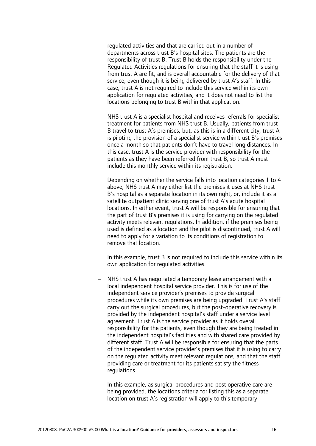regulated activities and that are carried out in a number of departments across trust B's hospital sites. The patients are the responsibility of trust B. Trust B holds the responsibility under the Regulated Activities regulations for ensuring that the staff it is using from trust A are fit, and is overall accountable for the delivery of that service, even though it is being delivered by trust A's staff. In this case, trust A is not required to include this service within its own application for regulated activities, and it does not need to list the locations belonging to trust B within that application.

− NHS trust A is a specialist hospital and receives referrals for specialist treatment for patients from NHS trust B. Usually, patients from trust B travel to trust A's premises, but, as this is in a different city, trust A is piloting the provision of a specialist service within trust B's premises once a month so that patients don't have to travel long distances. In this case, trust A is the service provider with responsibility for the patients as they have been referred from trust B, so trust A must include this monthly service within its registration.

Depending on whether the service falls into location categories 1 to 4 above, NHS trust A may either list the premises it uses at NHS trust B's hospital as a separate location in its own right, or, include it as a satellite outpatient clinic serving one of trust A's acute hospital locations. In either event, trust A will be responsible for ensuring that the part of trust B's premises it is using for carrying on the regulated activity meets relevant regulations. In addition, if the premises being used is defined as a location and the pilot is discontinued, trust A will need to apply for a variation to its conditions of registration to remove that location.

In this example, trust B is not required to include this service within its own application for regulated activities.

− NHS trust A has negotiated a temporary lease arrangement with a local independent hospital service provider. This is for use of the independent service provider's premises to provide surgical procedures while its own premises are being upgraded. Trust A's staff carry out the surgical procedures, but the post-operative recovery is provided by the independent hospital's staff under a service level agreement. Trust A is the service provider as it holds overall responsibility for the patients, even though they are being treated in the independent hospital's facilities and with shared care provided by different staff. Trust A will be responsible for ensuring that the parts of the independent service provider's premises that it is using to carry on the regulated activity meet relevant regulations, and that the staff providing care or treatment for its patients satisfy the fitness regulations.

In this example, as surgical procedures and post operative care are being provided, the locations criteria for listing this as a separate location on trust A's registration will apply to this temporary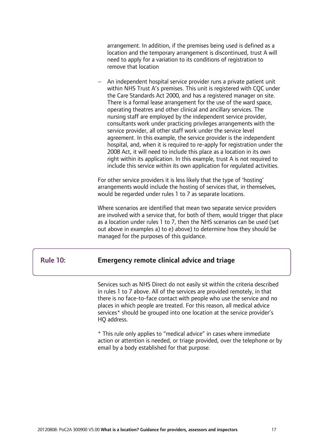arrangement. In addition, if the premises being used is defined as a location and the temporary arrangement is discontinued, trust A will need to apply for a variation to its conditions of registration to remove that location

− An independent hospital service provider runs a private patient unit within NHS Trust A's premises. This unit is registered with CQC under the Care Standards Act 2000, and has a registered manager on site. There is a formal lease arrangement for the use of the ward space, operating theatres and other clinical and ancillary services. The nursing staff are employed by the independent service provider, consultants work under practicing privileges arrangements with the service provider, all other staff work under the service level agreement. In this example, the service provider is the independent hospital, and, when it is required to re-apply for registration under the 2008 Act, it will need to include this place as a location in its own right within its application. In this example, trust A is not required to include this service within its own application for regulated activities.

For other service providers it is less likely that the type of 'hosting' arrangements would include the hosting of services that, in themselves, would be regarded under rules 1 to 7 as separate locations.

Where scenarios are identified that mean two separate service providers are involved with a service that, for both of them, would trigger that place as a location under rules 1 to 7, then the NHS scenarios can be used (set out above in examples a) to e) above) to determine how they should be managed for the purposes of this guidance.

#### Rule 10: Emergency remote clinical advice and triage

Ī

 $\overline{a}$ 

Services such as NHS Direct do not easily sit within the criteria described in rules 1 to 7 above. All of the services are provided remotely, in that there is no face-to-face contact with people who use the service and no places in which people are treated. For this reason, all medical advice services\* should be grouped into one location at the service provider's HQ address.

\* This rule only applies to "medical advice" in cases where immediate action or attention is needed, or triage provided, over the telephone or by email by a body established for that purpose.